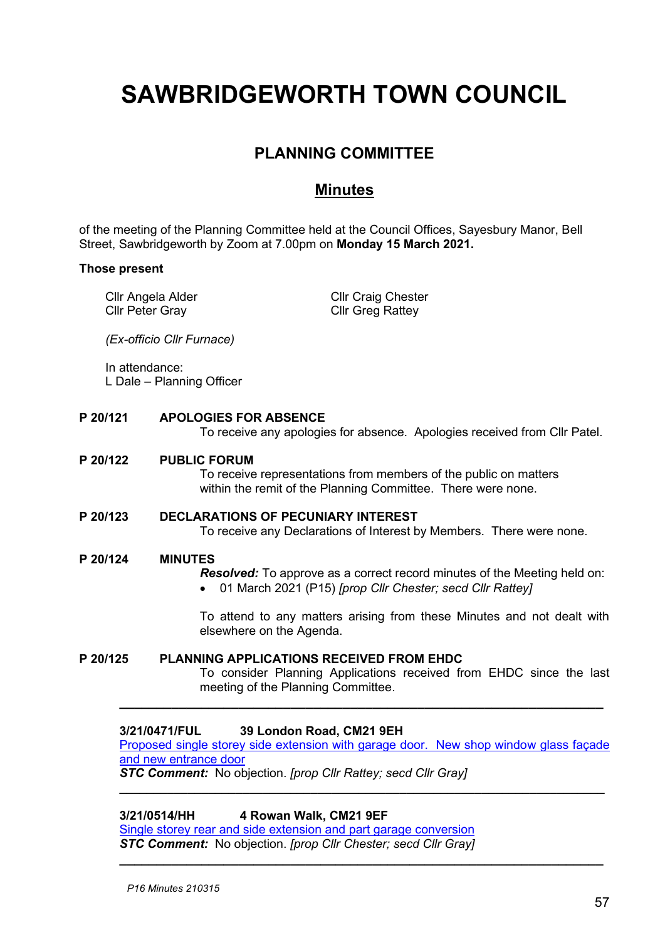# **SAWBRIDGEWORTH TOWN COUNCIL**

# **PLANNING COMMITTEE**

# **Minutes**

of the meeting of the Planning Committee held at the Council Offices, Sayesbury Manor, Bell Street, Sawbridgeworth by Zoom at 7.00pm on **Monday 15 March 2021.**

#### **Those present**

Cllr Angela Alder Cllr Peter Gray

Cllr Craig Chester Cllr Greg Rattey

*(Ex-officio Cllr Furnace)*

In attendance: L Dale – Planning Officer

# **P 20/121 APOLOGIES FOR ABSENCE**

To receive any apologies for absence. Apologies received from Cllr Patel.

# **P 20/122 PUBLIC FORUM**

To receive representations from members of the public on matters within the remit of the Planning Committee. There were none.

# **P 20/123 DECLARATIONS OF PECUNIARY INTEREST**

To receive any Declarations of Interest by Members. There were none.

#### **P 20/124 MINUTES**

*Resolved:* To approve as a correct record minutes of the Meeting held on:

• 01 March 2021 (P15) *[prop Cllr Chester; secd Cllr Rattey]*

To attend to any matters arising from these Minutes and not dealt with elsewhere on the Agenda.

# **P 20/125 PLANNING APPLICATIONS RECEIVED FROM EHDC**

To consider Planning Applications received from EHDC since the last meeting of the Planning Committee.

#### **3/21/0471/FUL 39 London Road, CM21 9EH**

[Proposed single storey side extension with garage door. New shop window glass façade](https://publicaccess.eastherts.gov.uk/online-applications/applicationDetails.do?activeTab=documents&keyVal=QP0WZ9GLL4500) [and new entrance door](https://publicaccess.eastherts.gov.uk/online-applications/applicationDetails.do?activeTab=documents&keyVal=QP0WZ9GLL4500) *STC Comment:* No objection. *[prop Cllr Rattey; secd Cllr Gray]*

**\_\_\_\_\_\_\_\_\_\_\_\_\_\_\_\_\_\_\_\_\_\_\_\_\_\_\_\_\_\_\_\_\_\_\_\_\_\_\_\_\_\_\_\_\_\_\_\_\_\_\_\_\_\_\_\_\_\_\_\_\_\_\_\_\_\_\_\_\_\_\_**

**\_\_\_\_\_\_\_\_\_\_\_\_\_\_\_\_\_\_\_\_\_\_\_\_\_\_\_\_\_\_\_\_\_\_\_\_\_\_\_\_\_\_\_\_\_\_\_\_\_\_\_\_\_\_\_\_\_\_\_\_\_\_\_\_\_**

**\_\_\_\_\_\_\_\_\_\_\_\_\_\_\_\_\_\_\_\_\_\_\_\_\_\_\_\_\_\_\_\_\_\_\_\_\_\_\_\_\_\_\_\_\_\_\_\_\_\_\_\_\_\_\_\_\_\_\_\_\_\_\_\_\_**

**3/21/0514/HH 4 Rowan Walk, CM21 9EF** 

[Single storey rear and side extension and part garage conversion](https://publicaccess.eastherts.gov.uk/online-applications/applicationDetails.do?activeTab=documents&keyVal=QPC10OGLL7500) *STC Comment:* No objection. *[prop Cllr Chester; secd Cllr Gray]*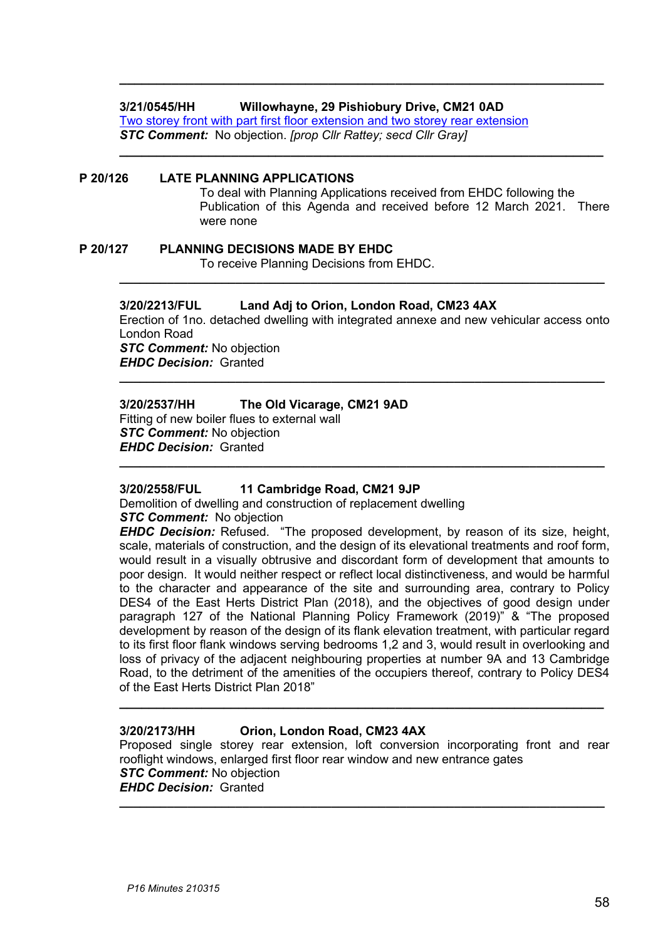### **3/21/0545/HH Willowhayne, 29 Pishiobury Drive, CM21 0AD**

[Two storey front with part first floor extension and two storey](https://publicaccess.eastherts.gov.uk/online-applications/applicationDetails.do?activeTab=documents&keyVal=QPFQCZGLL8Z00) rear extension *STC Comment:* No objection. *[prop Cllr Rattey; secd Cllr Gray]*

#### **P 20/126 LATE PLANNING APPLICATIONS** To deal with Planning Applications received from EHDC following the Publication of this Agenda and received before 12 March 2021. There were none

**\_\_\_\_\_\_\_\_\_\_\_\_\_\_\_\_\_\_\_\_\_\_\_\_\_\_\_\_\_\_\_\_\_\_\_\_\_\_\_\_\_\_\_\_\_\_\_\_\_\_\_\_\_\_\_\_\_\_\_\_\_\_\_\_\_**

**\_\_\_\_\_\_\_\_\_\_\_\_\_\_\_\_\_\_\_\_\_\_\_\_\_\_\_\_\_\_\_\_\_\_\_\_\_\_\_\_\_\_\_\_\_\_\_\_\_\_\_\_\_\_\_\_\_\_\_\_\_\_\_\_\_**

**P 20/127 PLANNING DECISIONS MADE BY EHDC**

To receive Planning Decisions from EHDC.

# **3/20/2213/FUL Land Adj to Orion, London Road, CM23 4AX**

Erection of 1no. detached dwelling with integrated annexe and new vehicular access onto London Road *STC Comment:* No objection *EHDC Decision:* Granted

**\_\_\_\_\_\_\_\_\_\_\_\_\_\_\_\_\_\_\_\_\_\_\_\_\_\_\_\_\_\_\_\_\_\_\_\_\_\_\_\_\_\_\_\_\_\_\_\_\_\_\_\_\_\_\_\_\_\_\_\_\_\_\_\_\_\_\_\_\_\_\_**

**\_\_\_\_\_\_\_\_\_\_\_\_\_\_\_\_\_\_\_\_\_\_\_\_\_\_\_\_\_\_\_\_\_\_\_\_\_\_\_\_\_\_\_\_\_\_\_\_\_\_\_\_\_\_\_\_\_\_\_\_\_\_\_\_\_\_\_\_\_\_\_**

**\_\_\_\_\_\_\_\_\_\_\_\_\_\_\_\_\_\_\_\_\_\_\_\_\_\_\_\_\_\_\_\_\_\_\_\_\_\_\_\_\_\_\_\_\_\_\_\_\_\_\_\_\_\_\_\_\_\_\_\_\_\_\_\_\_\_\_\_\_\_\_**

#### **3/20/2537/HH The Old Vicarage, CM21 9AD**

Fitting of new boiler flues to external wall *STC Comment:* No objection *EHDC Decision:* Granted

# **3/20/2558/FUL 11 Cambridge Road, CM21 9JP**

Demolition of dwelling and construction of replacement dwelling *STC Comment:* No objection

*EHDC Decision:* Refused. "The proposed development, by reason of its size, height, scale, materials of construction, and the design of its elevational treatments and roof form, would result in a visually obtrusive and discordant form of development that amounts to poor design. It would neither respect or reflect local distinctiveness, and would be harmful to the character and appearance of the site and surrounding area, contrary to Policy DES4 of the East Herts District Plan (2018), and the objectives of good design under paragraph 127 of the National Planning Policy Framework (2019)" & "The proposed development by reason of the design of its flank elevation treatment, with particular regard to its first floor flank windows serving bedrooms 1,2 and 3, would result in overlooking and loss of privacy of the adjacent neighbouring properties at number 9A and 13 Cambridge Road, to the detriment of the amenities of the occupiers thereof, contrary to Policy DES4 of the East Herts District Plan 2018"

# **3/20/2173/HH Orion, London Road, CM23 4AX**

Proposed single storey rear extension, loft conversion incorporating front and rear rooflight windows, enlarged first floor rear window and new entrance gates *STC Comment:* No objection *EHDC Decision:* Granted **\_\_\_\_\_\_\_\_\_\_\_\_\_\_\_\_\_\_\_\_\_\_\_\_\_\_\_\_\_\_\_\_\_\_\_\_\_\_\_\_\_\_\_\_\_\_\_\_\_\_\_\_\_\_\_\_\_\_\_\_\_\_\_\_\_\_\_\_\_\_\_**

**\_\_\_\_\_\_\_\_\_\_\_\_\_\_\_\_\_\_\_\_\_\_\_\_\_\_\_\_\_\_\_\_\_\_\_\_\_\_\_\_\_\_\_\_\_\_\_\_\_\_\_\_\_\_\_\_\_\_\_\_\_\_\_\_\_**